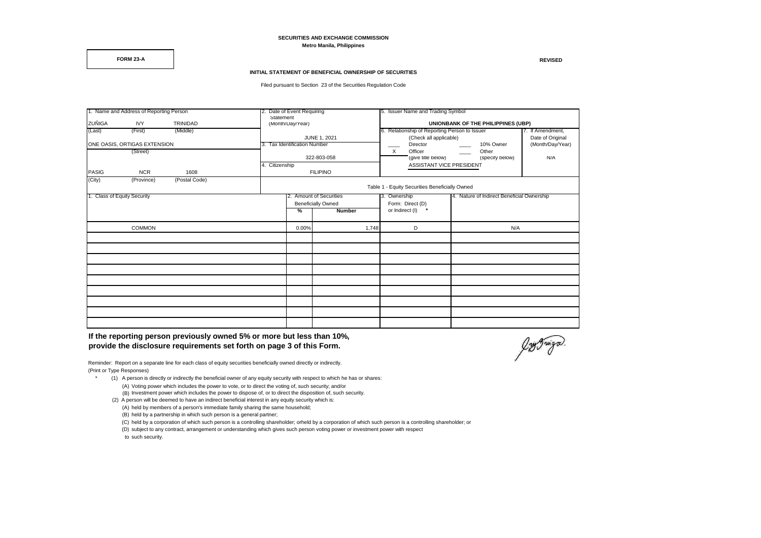#### **SECURITIES AND EXCHANGE COMMISSION Metro Manila, Philippines**

#### **FORM 23-A REVISED**

#### **INITIAL STATEMENT OF BENEFICIAL OWNERSHIP OF SECURITIES**

Filed pursuant to Section 23 of the Securities Regulation Code

| 1. Name and Address of Reporting Person | 2. Date of Event Requiring                     |       | 5. Issuer Name and Trading Symbol |                                               |                                            |  |  |  |
|-----------------------------------------|------------------------------------------------|-------|-----------------------------------|-----------------------------------------------|--------------------------------------------|--|--|--|
|                                         | Statement                                      |       |                                   |                                               |                                            |  |  |  |
| ZUÑIGA<br><b>IVY</b><br><b>TRINIDAD</b> | (Month/Day/Year)                               |       |                                   | UNIONBANK OF THE PHILIPPINES (UBP)            |                                            |  |  |  |
| (Middle)<br>(Last)<br>(First)           |                                                |       |                                   | 6. Relationship of Reporting Person to Issuer | 7. If Amendment,                           |  |  |  |
|                                         |                                                |       | <b>JUNE 1, 2021</b>               | (Check all applicable)                        | Date of Original                           |  |  |  |
| ONE OASIS, ORTIGAS EXTENSION            | 3. Tax Identification Number                   |       | Director                          | 10% Owner<br>(Month/Day/Year)                 |                                            |  |  |  |
| (Street)                                |                                                |       | $\times$<br>Officer               | Other                                         |                                            |  |  |  |
|                                         | 322-803-058                                    |       |                                   | (give title below)                            | N/A<br>(specify below)                     |  |  |  |
|                                         | 4. Citizenship                                 |       |                                   | ASSISTANT VICE PRESIDENT                      |                                            |  |  |  |
| <b>PASIG</b><br><b>NCR</b><br>1608      | <b>FILIPINO</b>                                |       |                                   |                                               |                                            |  |  |  |
| (City)<br>(Postal Code)<br>(Province)   |                                                |       |                                   |                                               |                                            |  |  |  |
|                                         | Table 1 - Equity Securities Beneficially Owned |       |                                   |                                               |                                            |  |  |  |
|                                         |                                                |       |                                   |                                               |                                            |  |  |  |
| 1. Class of Equity Security             | 2. Amount of Securities                        |       |                                   | 3. Ownership                                  | 4. Nature of Indirect Beneficial Ownership |  |  |  |
|                                         | <b>Beneficially Owned</b>                      |       | Form: Direct (D)                  |                                               |                                            |  |  |  |
|                                         |                                                | %     | Number                            | or Indirect (I) *                             |                                            |  |  |  |
|                                         |                                                |       |                                   |                                               |                                            |  |  |  |
| <b>COMMON</b>                           |                                                | 0.00% | 1,748                             | D                                             | N/A                                        |  |  |  |
|                                         |                                                |       |                                   |                                               |                                            |  |  |  |
|                                         |                                                |       |                                   |                                               |                                            |  |  |  |
|                                         |                                                |       |                                   |                                               |                                            |  |  |  |
|                                         |                                                |       |                                   |                                               |                                            |  |  |  |
|                                         |                                                |       |                                   |                                               |                                            |  |  |  |
|                                         |                                                |       |                                   |                                               |                                            |  |  |  |
|                                         |                                                |       |                                   |                                               |                                            |  |  |  |
|                                         |                                                |       |                                   |                                               |                                            |  |  |  |
|                                         |                                                |       |                                   |                                               |                                            |  |  |  |
|                                         |                                                |       |                                   |                                               |                                            |  |  |  |

**If the reporting person previously owned 5% or more but less than 10%, provide the disclosure requirements set forth on page 3 of this Form.** 

Jy Fringa.

Reminder: Report on a separate line for each class of equity securities beneficially owned directly or indirectly. (Print or Type Responses)

(1) A person is directly or indirectly the beneficial owner of any equity security with respect to which he has or shares:

(A) Voting power which includes the power to vote, or to direct the voting of, such security; and/or (B) Investment power which includes the power to dispose of, or to direct the disposition of, such security.

(2) A person will be deemed to have an indirect beneficial interest in any equity security which is:

(A) held by members of a person's immediate family sharing the same household;

(B) held by a partnership in which such person is a general partner;

(C) held by a corporation of which such person is a controlling shareholder; orheld by a corporation of which such person is a controlling shareholder; or

(D) subject to any contract, arrangement or understanding which gives such person voting power or investment power with respect

to such security.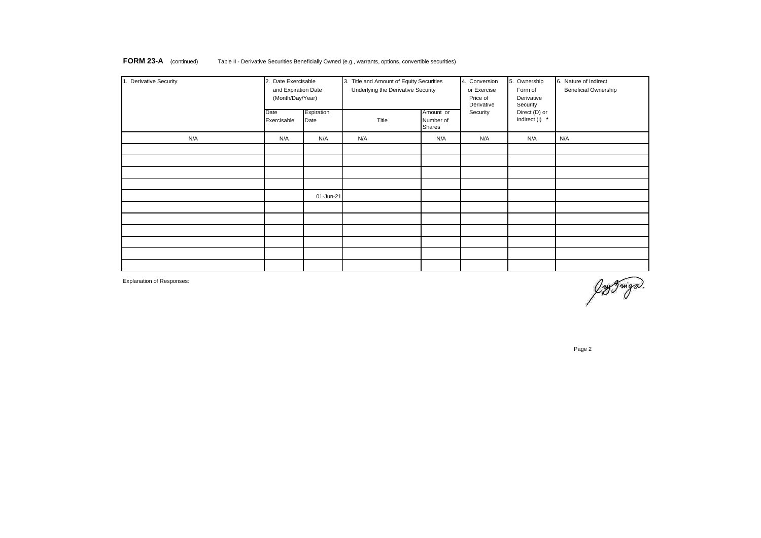| 1. Derivative Security | 2. Date Exercisable<br>and Expiration Date<br>(Month/Day/Year) |                    | 3. Title and Amount of Equity Securities<br>Underlying the Derivative Security |                                  | 4. Conversion<br>or Exercise<br>Price of<br>Derivative | 5. Ownership<br>Form of<br>Derivative<br>Security | 6. Nature of Indirect<br><b>Beneficial Ownership</b> |
|------------------------|----------------------------------------------------------------|--------------------|--------------------------------------------------------------------------------|----------------------------------|--------------------------------------------------------|---------------------------------------------------|------------------------------------------------------|
|                        | Date<br>Exercisable                                            | Expiration<br>Date | Title                                                                          | Amount or<br>Number of<br>Shares | Security                                               | Direct (D) or<br>Indirect (I) *                   |                                                      |
| N/A                    | N/A                                                            | N/A                | N/A                                                                            | N/A                              | N/A                                                    | N/A                                               | N/A                                                  |
|                        |                                                                |                    |                                                                                |                                  |                                                        |                                                   |                                                      |
|                        |                                                                |                    |                                                                                |                                  |                                                        |                                                   |                                                      |
|                        |                                                                |                    |                                                                                |                                  |                                                        |                                                   |                                                      |
|                        |                                                                |                    |                                                                                |                                  |                                                        |                                                   |                                                      |
|                        |                                                                | 01-Jun-21          |                                                                                |                                  |                                                        |                                                   |                                                      |
|                        |                                                                |                    |                                                                                |                                  |                                                        |                                                   |                                                      |
|                        |                                                                |                    |                                                                                |                                  |                                                        |                                                   |                                                      |
|                        |                                                                |                    |                                                                                |                                  |                                                        |                                                   |                                                      |
|                        |                                                                |                    |                                                                                |                                  |                                                        |                                                   |                                                      |
|                        |                                                                |                    |                                                                                |                                  |                                                        |                                                   |                                                      |
|                        |                                                                |                    |                                                                                |                                  |                                                        |                                                   |                                                      |
| .                      |                                                                |                    |                                                                                |                                  |                                                        |                                                   | $\sim$                                               |

# **FORM 23-A** (continued) Table II - Derivative Securities Beneficially Owned (e.g., warrants, options, convertible securities)

Explanation of Responses:

Juggniga.

Page 2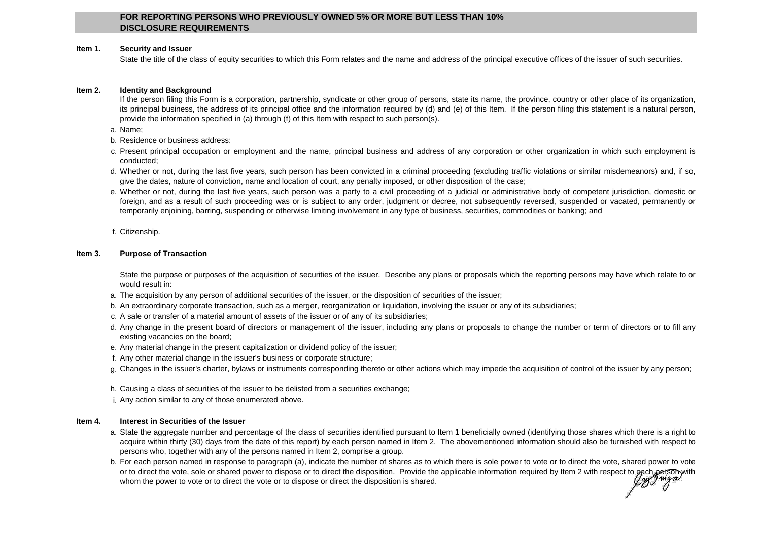# **FOR REPORTING PERSONS WHO PREVIOUSLY OWNED 5% OR MORE BUT LESS THAN 10% DISCLOSURE REQUIREMENTS**

#### **Item 1. Security and Issuer**

State the title of the class of equity securities to which this Form relates and the name and address of the principal executive offices of the issuer of such securities.

### **Item 2. Identity and Background**

If the person filing this Form is a corporation, partnership, syndicate or other group of persons, state its name, the province, country or other place of its organization, its principal business, the address of its principal office and the information required by (d) and (e) of this Item. If the person filing this statement is a natural person, provide the information specified in (a) through (f) of this Item with respect to such person(s).

- a. Name;
- b. Residence or business address;
- c. Present principal occupation or employment and the name, principal business and address of any corporation or other organization in which such employment is conducted;
- d. Whether or not, during the last five years, such person has been convicted in a criminal proceeding (excluding traffic violations or similar misdemeanors) and, if so, give the dates, nature of conviction, name and location of court, any penalty imposed, or other disposition of the case;
- e. Whether or not, during the last five years, such person was a party to a civil proceeding of a judicial or administrative body of competent jurisdiction, domestic or foreign, and as a result of such proceeding was or is subject to any order, judgment or decree, not subsequently reversed, suspended or vacated, permanently or temporarily enjoining, barring, suspending or otherwise limiting involvement in any type of business, securities, commodities or banking; and
- f. Citizenship.

### **Item 3. Purpose of Transaction**

State the purpose or purposes of the acquisition of securities of the issuer. Describe any plans or proposals which the reporting persons may have which relate to or would result in:

- a. The acquisition by any person of additional securities of the issuer, or the disposition of securities of the issuer;
- b. An extraordinary corporate transaction, such as a merger, reorganization or liquidation, involving the issuer or any of its subsidiaries;
- c. A sale or transfer of a material amount of assets of the issuer or of any of its subsidiaries;
- d. Any change in the present board of directors or management of the issuer, including any plans or proposals to change the number or term of directors or to fill any existing vacancies on the board;
- e. Any material change in the present capitalization or dividend policy of the issuer;
- f. Any other material change in the issuer's business or corporate structure;
- g. Changes in the issuer's charter, bylaws or instruments corresponding thereto or other actions which may impede the acquisition of control of the issuer by any person;
- h. Causing a class of securities of the issuer to be delisted from a securities exchange;
- i. Any action similar to any of those enumerated above.

## **Item 4. Interest in Securities of the Issuer**

- a. State the aggregate number and percentage of the class of securities identified pursuant to Item 1 beneficially owned (identifying those shares which there is a right to acquire within thirty (30) days from the date of this report) by each person named in Item 2. The abovementioned information should also be furnished with respect to persons who, together with any of the persons named in Item 2, comprise a group.
- b. For each person named in response to paragraph (a), indicate the number of shares as to which there is sole power to vote or to direct the vote, shared power to vote or to direct the vote, sole or shared power to dispose or to direct the disposition. Provide the applicable information required by Item 2 with respect to gach person with whom the power to vote or to direct the vote or to dispose or direct the disposition is shared.